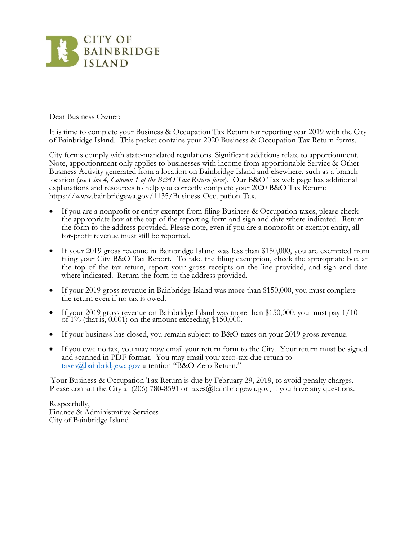

Dear Business Owner:

It is time to complete your Business & Occupation Tax Return for reporting year 2019 with the City of Bainbridge Island. This packet contains your 2020 Business & Occupation Tax Return forms.

City forms comply with state-mandated regulations. Significant additions relate to apportionment. Note, apportionment only applies to businesses with income from apportionable Service & Other Business Activity generated from a location on Bainbridge Island and elsewhere, such as a branch location (see Line 4, Column 1 of the B&O Tax Return form). Our B&O Tax web page has additional explanations and resources to help you correctly complete your 2020 B&O Tax Return: https://www.bainbridgewa.gov/1135/Business-Occupation-Tax.

- If you are a nonprofit or entity exempt from filing Business  $\&$  Occupation taxes, please check the appropriate box at the top of the reporting form and sign and date where indicated. Return the form to the address provided. Please note, even if you are a nonprofit or exempt entity, all for-profit revenue must still be reported.
- If your 2019 gross revenue in Bainbridge Island was less than \$150,000, you are exempted from filing your City B&O Tax Report. To take the filing exemption, check the appropriate box at the top of the tax return, report your gross receipts on the line provided, and sign and date where indicated. Return the form to the address provided.
- If your 2019 gross revenue in Bainbridge Island was more than \$150,000, you must complete the return even if no tax is owed.
- If your 2019 gross revenue on Bainbridge Island was more than \$150,000, you must pay 1/10 of  $1\%$  (that is, 0.001) on the amount exceeding \$150,000.
- If your business has closed, you remain subject to B&O taxes on your 2019 gross revenue.
- If you owe no tax, you may now email your return form to the City. Your return must be signed and scanned in PDF format. You may email your zero-tax-due return to [taxes@bainbridgewa.gov](mailto:taxes@bainbridgewa.gov) attention "B&O Zero Return."

Your Business & Occupation Tax Return is due by February 29, 2019, to avoid penalty charges. Please contact the City at  $(206)$  780-8591 or taxes  $\omega$  bainbridgewa.gov, if you have any questions.

Respectfully, Finance & Administrative Services City of Bainbridge Island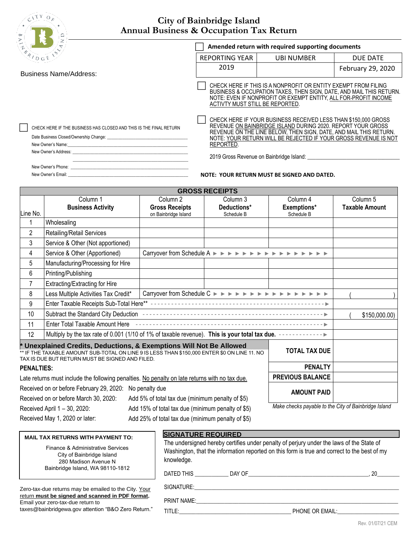$C^{1 \bar{1} \bar{Y}}$  O<sub>R</sub>

## **City of Bainbridge Island Annual Business & Occupation Tax Return**

|                                                                                                                                                                                                                                                                                                      | Amended return with required supporting documents                                                                                                                                                                                           |                                                                                                                                                                                                                                                                                                                   |                   |  |  |  |
|------------------------------------------------------------------------------------------------------------------------------------------------------------------------------------------------------------------------------------------------------------------------------------------------------|---------------------------------------------------------------------------------------------------------------------------------------------------------------------------------------------------------------------------------------------|-------------------------------------------------------------------------------------------------------------------------------------------------------------------------------------------------------------------------------------------------------------------------------------------------------------------|-------------------|--|--|--|
|                                                                                                                                                                                                                                                                                                      | <b>REPORTING YEAR</b>                                                                                                                                                                                                                       | <b>UBI NUMBER</b>                                                                                                                                                                                                                                                                                                 | <b>DUE DATE</b>   |  |  |  |
| <b>Business Name/Address:</b>                                                                                                                                                                                                                                                                        | 2019                                                                                                                                                                                                                                        |                                                                                                                                                                                                                                                                                                                   | February 29, 2020 |  |  |  |
|                                                                                                                                                                                                                                                                                                      | CHECK HERE IF THIS IS A NONPROFIT OR ENTITY EXEMPT FROM FILING<br>BUSINESS & OCCUPATION TAXES, THEN SIGN, DATE, AND MAIL THIS RETURN.<br>NOTE: EVEN IF NONPROFIT OR EXEMPT ENTITY, ALL FOR-PROFIT INCOME<br>ACTIVTY MUST STILL BE REPORTED. |                                                                                                                                                                                                                                                                                                                   |                   |  |  |  |
| CHECK HERE IF THE BUSINESS HAS CLOSED AND THIS IS THE FINAL RETURN<br>New Owner's Name: New York and the Second Second Second Second Second Second Second Second Second Second Second Second Second Second Second Second Second Second Second Second Second Second Second Second Second Second Secon | REPORTED.                                                                                                                                                                                                                                   | CHECK HERE IF YOUR BUSINESS RECEIVED LESS THAN \$150,000 GROSS<br>REVENUE ON BAINBRIDGE ISLAND DURING 2020. REPORT YOUR GROSS<br>REVENUE ON THE LINE BELOW, THEN SIGN, DATE, AND MAIL THIS RETURN.<br>NOTE: YOUR RETURN WILL BE REJECTED IF YOUR GROSS REVENUE IS NOT<br>2019 Gross Revenue on Bainbridge Island: |                   |  |  |  |
| New Owner's Email:                                                                                                                                                                                                                                                                                   |                                                                                                                                                                                                                                             | <b>NOTE: YOUR RETURN MUST BE SIGNED AND DATED.</b>                                                                                                                                                                                                                                                                |                   |  |  |  |

|                   | <b>GROSS RECEIPTS</b>                                                                                                                                                                                                  |                                                   |                                                                                                                                                                                                                                                        |                                                      |                       |  |  |  |
|-------------------|------------------------------------------------------------------------------------------------------------------------------------------------------------------------------------------------------------------------|---------------------------------------------------|--------------------------------------------------------------------------------------------------------------------------------------------------------------------------------------------------------------------------------------------------------|------------------------------------------------------|-----------------------|--|--|--|
|                   | Column 1                                                                                                                                                                                                               | Column <sub>2</sub>                               | Column 3                                                                                                                                                                                                                                               | Column 4                                             | Column 5              |  |  |  |
|                   | <b>Business Activity</b>                                                                                                                                                                                               | <b>Gross Receipts</b>                             | Deductions*                                                                                                                                                                                                                                            | Exemptions*                                          | <b>Taxable Amount</b> |  |  |  |
| Line No.          |                                                                                                                                                                                                                        | on Bainbridge Island                              | Schedule B                                                                                                                                                                                                                                             | Schedule B                                           |                       |  |  |  |
| 1                 | Wholesaling                                                                                                                                                                                                            |                                                   |                                                                                                                                                                                                                                                        |                                                      |                       |  |  |  |
| $\overline{2}$    | Retailing/Retail Services                                                                                                                                                                                              |                                                   |                                                                                                                                                                                                                                                        |                                                      |                       |  |  |  |
| 3                 | Service & Other (Not apportioned)                                                                                                                                                                                      |                                                   |                                                                                                                                                                                                                                                        |                                                      |                       |  |  |  |
| 4                 | Service & Other (Apportioned)                                                                                                                                                                                          |                                                   | Carryover from Schedule A $\triangleright$ $\triangleright$ $\triangleright$ $\triangleright$ $\triangleright$ $\triangleright$ $\triangleright$ $\triangleright$ $\triangleright$ $\triangleright$ $\triangleright$ $\triangleright$                  |                                                      |                       |  |  |  |
| 5                 | Manufacturing/Processing for Hire                                                                                                                                                                                      |                                                   |                                                                                                                                                                                                                                                        |                                                      |                       |  |  |  |
| 6                 | Printing/Publishing                                                                                                                                                                                                    |                                                   |                                                                                                                                                                                                                                                        |                                                      |                       |  |  |  |
| 7                 | Extracting/Extracting for Hire                                                                                                                                                                                         |                                                   |                                                                                                                                                                                                                                                        |                                                      |                       |  |  |  |
| 8                 | Less Multiple Activities Tax Credit*                                                                                                                                                                                   |                                                   | Carryover from Schedule C $\triangleright$ $\triangleright$ $\triangleright$ $\triangleright$ $\triangleright$ $\triangleright$ $\triangleright$ $\triangleright$ $\triangleright$ $\triangleright$ $\triangleright$ $\triangleright$ $\triangleright$ |                                                      |                       |  |  |  |
| 9                 |                                                                                                                                                                                                                        |                                                   |                                                                                                                                                                                                                                                        |                                                      |                       |  |  |  |
| 10                |                                                                                                                                                                                                                        |                                                   |                                                                                                                                                                                                                                                        |                                                      | \$150,000.00)         |  |  |  |
| 11                | Enter Total Taxable Amount Here                                                                                                                                                                                        |                                                   |                                                                                                                                                                                                                                                        |                                                      |                       |  |  |  |
| 12                | Multiply by the tax rate of 0.001 (1/10 of 1% of taxable revenue). This is your total tax due. ------------ ►                                                                                                          |                                                   |                                                                                                                                                                                                                                                        |                                                      |                       |  |  |  |
|                   | * Unexplained Credits, Deductions, & Exemptions Will Not Be Allowed<br>** IF THE TAXABLE AMOUNT SUB-TOTAL ON LINE 9 IS LESS THAN \$150,000 ENTER \$0 ON LINE 11. NO<br>TAX IS DUE BUT RETURN MUST BE SIGNED AND FILED. |                                                   |                                                                                                                                                                                                                                                        | <b>TOTAL TAX DUE</b>                                 |                       |  |  |  |
| <b>PENALTIES:</b> |                                                                                                                                                                                                                        |                                                   |                                                                                                                                                                                                                                                        | <b>PENALTY</b>                                       |                       |  |  |  |
|                   | Late returns must include the following penalties. No penalty on late returns with no tax due.                                                                                                                         |                                                   |                                                                                                                                                                                                                                                        | <b>PREVIOUS BALANCE</b>                              |                       |  |  |  |
|                   | Received on or before February 29, 2020:<br>No penalty due<br><b>AMOUNT PAID</b><br>Received on or before March 30, 2020:<br>Add 5% of total tax due (minimum penalty of \$5)                                          |                                                   |                                                                                                                                                                                                                                                        |                                                      |                       |  |  |  |
|                   | Received April 1 - 30, 2020:                                                                                                                                                                                           | Add 15% of total tax due (minimum penalty of \$5) |                                                                                                                                                                                                                                                        | Make checks payable to the City of Bainbridge Island |                       |  |  |  |

Received May 1, 2020 or later: Add 25% of total tax due (minimum penalty of \$5)

**SIGNATURE REQUIRED**

| The undersigned hereby certifies under penalty of perjury under the laws of the State of<br>Washington, that the information reported on this form is true and correct to the best of my<br>knowledge.<br>DATED THIS DAY OF<br>20. |            |  |  |  |  |  |
|------------------------------------------------------------------------------------------------------------------------------------------------------------------------------------------------------------------------------------|------------|--|--|--|--|--|
|                                                                                                                                                                                                                                    |            |  |  |  |  |  |
|                                                                                                                                                                                                                                    | SIGNATURE: |  |  |  |  |  |

Zero-tax-due returns may be emailed to the City. Your return **must be signed and scanned in PDF format.** Email your zero-tax-due return to taxes@bainbridgewa.gov attention "B&O Zero Return."

**MAIL TAX RETURNS WITH PAYMENT TO:** Finance & Administrative Services City of Bainbridge Island 280 Madison Avenue N Bainbridge Island, WA 98110-1812

PRINT NAME:

TITLE:\_\_\_\_\_\_\_\_\_\_\_\_\_\_\_\_\_\_\_\_\_\_\_\_\_\_\_\_\_\_\_\_\_\_\_\_\_\_\_\_ PHONE OR EMAIL:\_\_\_\_\_\_\_\_\_\_\_\_\_\_\_\_\_\_\_\_\_\_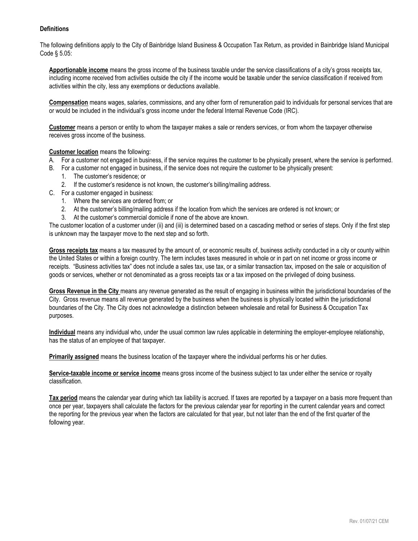## **Definitions**

The following definitions apply to the City of Bainbridge Island Business & Occupation Tax Return, as provided in Bainbridge Island Municipal Code § 5.05:

**Apportionable income** means the gross income of the business taxable under the service classifications of a city's gross receipts tax, including income received from activities outside the city if the income would be taxable under the service classification if received from activities within the city, less any exemptions or deductions available.

**Compensation** means wages, salaries, commissions, and any other form of remuneration paid to individuals for personal services that are or would be included in the individual's gross income under the federal Internal Revenue Code (IRC).

**Customer** means a person or entity to whom the taxpayer makes a sale or renders services, or from whom the taxpayer otherwise receives gross income of the business.

## **Customer location** means the following:

- A. For a customer not engaged in business, if the service requires the customer to be physically present, where the service is performed.
- B. For a customer not engaged in business, if the service does not require the customer to be physically present:
	- 1. The customer's residence; or
	- 2. If the customer's residence is not known, the customer's billing/mailing address.
- C. For a customer engaged in business:
	- 1. Where the services are ordered from; or
	- 2. At the customer's billing/mailing address if the location from which the services are ordered is not known; or
	- 3. At the customer's commercial domicile if none of the above are known.

The customer location of a customer under (ii) and (iii) is determined based on a cascading method or series of steps. Only if the first step is unknown may the taxpayer move to the next step and so forth.

**Gross receipts tax** means a tax measured by the amount of, or economic results of, business activity conducted in a city or county within the United States or within a foreign country. The term includes taxes measured in whole or in part on net income or gross income or receipts. "Business activities tax" does not include a sales tax, use tax, or a similar transaction tax, imposed on the sale or acquisition of goods or services, whether or not denominated as a gross receipts tax or a tax imposed on the privileged of doing business.

**Gross Revenue in the City** means any revenue generated as the result of engaging in business within the jurisdictional boundaries of the City. Gross revenue means all revenue generated by the business when the business is physically located within the jurisdictional boundaries of the City. The City does not acknowledge a distinction between wholesale and retail for Business & Occupation Tax purposes.

**Individual** means any individual who, under the usual common law rules applicable in determining the employer-employee relationship, has the status of an employee of that taxpayer.

**Primarily assigned** means the business location of the taxpayer where the individual performs his or her duties.

**Service-taxable income or service income** means gross income of the business subject to tax under either the service or royalty classification.

**Tax period** means the calendar year during which tax liability is accrued. If taxes are reported by a taxpayer on a basis more frequent than once per year, taxpayers shall calculate the factors for the previous calendar year for reporting in the current calendar years and correct the reporting for the previous year when the factors are calculated for that year, but not later than the end of the first quarter of the following year.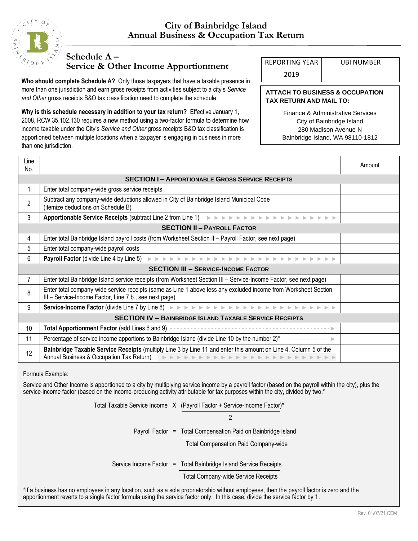

## **Schedule A –**

**Service & Other Income Apportionment** REPORTING YEAR UBI NUMBER

**Who should complete Schedule A?** Only those taxpayers that have a taxable presence in more than one jurisdiction and earn gross receipts from activities subject to a city's *Service and Other* gross receipts B&O tax classification need to complete the schedule.

**Why is this schedule necessary in addition to your tax return?** Effective January 1, 2008, RCW 35.102.130 requires a new method using a two-factor formula to determine how income taxable under the City's *Service and Other* gross receipts B&O tax classification is apportioned between multiple locations when a taxpayer is engaging in business in more than one jurisdiction.

2019

## **ATTACH TO BUSINESS & OCCUPATION TAX RETURN AND MAIL TO:**

Finance & Administrative Services City of Bainbridge Island 280 Madison Avenue N Bainbridge Island, WA 98110-1812

| Line<br>No.                                           |                                                                                                                                                                                                                                                                                                                                                                                                                                                                          | Amount |  |  |  |  |  |  |
|-------------------------------------------------------|--------------------------------------------------------------------------------------------------------------------------------------------------------------------------------------------------------------------------------------------------------------------------------------------------------------------------------------------------------------------------------------------------------------------------------------------------------------------------|--------|--|--|--|--|--|--|
| <b>SECTION I-APPORTIONABLE GROSS SERVICE RECEIPTS</b> |                                                                                                                                                                                                                                                                                                                                                                                                                                                                          |        |  |  |  |  |  |  |
| $\mathbf{1}$                                          | Enter total company-wide gross service receipts                                                                                                                                                                                                                                                                                                                                                                                                                          |        |  |  |  |  |  |  |
| $\overline{2}$                                        | Subtract any company-wide deductions allowed in City of Bainbridge Island Municipal Code<br>(itemize deductions on Schedule B)                                                                                                                                                                                                                                                                                                                                           |        |  |  |  |  |  |  |
| 3                                                     |                                                                                                                                                                                                                                                                                                                                                                                                                                                                          |        |  |  |  |  |  |  |
|                                                       | <b>SECTION II - PAYROLL FACTOR</b>                                                                                                                                                                                                                                                                                                                                                                                                                                       |        |  |  |  |  |  |  |
| 4                                                     | Enter total Bainbridge Island payroll costs (from Worksheet Section II - Payroll Factor, see next page)                                                                                                                                                                                                                                                                                                                                                                  |        |  |  |  |  |  |  |
| 5                                                     | Enter total company-wide payroll costs                                                                                                                                                                                                                                                                                                                                                                                                                                   |        |  |  |  |  |  |  |
| 6                                                     |                                                                                                                                                                                                                                                                                                                                                                                                                                                                          |        |  |  |  |  |  |  |
|                                                       | <b>SECTION III - SERVICE-INCOME FACTOR</b>                                                                                                                                                                                                                                                                                                                                                                                                                               |        |  |  |  |  |  |  |
| $\overline{7}$                                        | Enter total Bainbridge Island service receipts (from Worksheet Section III - Service-Income Factor, see next page)                                                                                                                                                                                                                                                                                                                                                       |        |  |  |  |  |  |  |
| 8                                                     | Enter total company-wide service receipts (same as Line 1 above less any excluded income from Worksheet Section<br>III - Service-Income Factor, Line 7.b., see next page)                                                                                                                                                                                                                                                                                                |        |  |  |  |  |  |  |
| 9                                                     |                                                                                                                                                                                                                                                                                                                                                                                                                                                                          |        |  |  |  |  |  |  |
|                                                       | <b>SECTION IV - BAINBRIDGE ISLAND TAXABLE SERVICE RECEIPTS</b>                                                                                                                                                                                                                                                                                                                                                                                                           |        |  |  |  |  |  |  |
| 10                                                    | Total Apportionment Factor (add Lines 6 and 9) ---                                                                                                                                                                                                                                                                                                                                                                                                                       |        |  |  |  |  |  |  |
| 11                                                    | Percentage of service income apportions to Bainbridge Island (divide Line 10 by the number 2)* --------------                                                                                                                                                                                                                                                                                                                                                            |        |  |  |  |  |  |  |
| 12                                                    | Bainbridge Taxable Service Receipts (multiply Line 3 by Line 11 and enter this amount on Line 4, Column 5 of the<br>Annual Business & Occupation Tax Return) BEREAD BEREAD BEREAD BEREAD BEREAD BEREAD                                                                                                                                                                                                                                                                   |        |  |  |  |  |  |  |
|                                                       | Formula Example:<br>Service and Other Income is apportioned to a city by multiplying service income by a payroll factor (based on the payroll within the city), plus the<br>service-income factor (based on the income-producing activity attributable for tax purposes within the city, divided by two.*<br>Total Taxable Service Income X (Payroll Factor + Service-Income Factor)*<br>$\overline{2}$<br>Payroll Factor = Total Compensation Paid on Bainbridge Island |        |  |  |  |  |  |  |
|                                                       | <b>Total Compensation Paid Company-wide</b><br>Service Income Factor = Total Bainbridge Island Service Receipts<br><b>Total Company-wide Service Receipts</b><br>*If a business has no employees in any location, such as a sole proprietorship without employees, then the payroll factor is zero and the                                                                                                                                                               |        |  |  |  |  |  |  |
|                                                       | apportionment reverts to a single factor formula using the service factor only. In this case, divide the service factor by 1.                                                                                                                                                                                                                                                                                                                                            |        |  |  |  |  |  |  |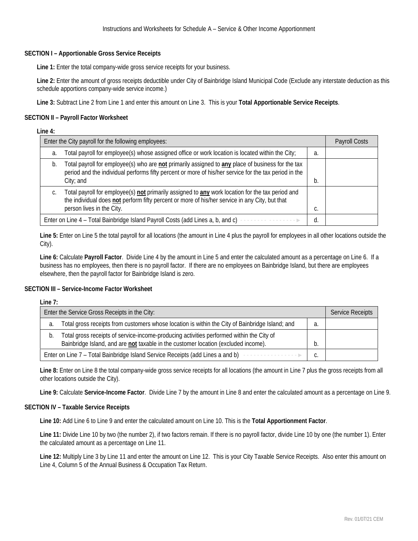## **SECTION I – Apportionable Gross Service Receipts**

**Line 1:** Enter the total company-wide gross service receipts for your business.

**Line 2:** Enter the amount of gross receipts deductible under City of Bainbridge Island Municipal Code (Exclude any interstate deduction as this schedule apportions company-wide service income.)

**Line 3:** Subtract Line 2 from Line 1 and enter this amount on Line 3. This is your **Total Apportionable Service Receipts**.

## **SECTION II – Payroll Factor Worksheet**

#### **Line 4:**

| Enter the City payroll for the following employees: |                                                                                                                                                                                                                                 |    |  |  |
|-----------------------------------------------------|---------------------------------------------------------------------------------------------------------------------------------------------------------------------------------------------------------------------------------|----|--|--|
| a.                                                  | Total payroll for employee(s) whose assigned office or work location is located within the City;                                                                                                                                | a. |  |  |
| b.                                                  | Total payroll for employee(s) who are not primarily assigned to any place of business for the tax<br>period and the individual performs fifty percent or more of his/her service for the tax period in the<br>$City;$ and       |    |  |  |
|                                                     | Total payroll for employee(s) not primarily assigned to any work location for the tax period and<br>the individual does not perform fifty percent or more of his/her service in any City, but that<br>person lives in the City. | υ. |  |  |
|                                                     | Enter on Line 4 - Total Bainbridge Island Payroll Costs (add Lines a, b, and c)                                                                                                                                                 |    |  |  |

**Line 5:** Enter on Line 5 the total payroll for all locations (the amount in Line 4 plus the payroll for employees in all other locations outside the City).

**Line 6:** Calculate **Payroll Factor**. Divide Line 4 by the amount in Line 5 and enter the calculated amount as a percentage on Line 6. If a business has no employees, then there is no payroll factor. If there are no employees on Bainbridge Island, but there are employees elsewhere, then the payroll factor for Bainbridge Island is zero.

#### **SECTION III – Service-Income Factor Worksheet**

#### **Line 7:**

| Enter the Service Gross Receipts in the City: | <b>Service Receipts</b>                                                                                                                                                        |  |  |
|-----------------------------------------------|--------------------------------------------------------------------------------------------------------------------------------------------------------------------------------|--|--|
| a.                                            | Total gross receipts from customers whose location is within the City of Bainbridge Island; and                                                                                |  |  |
| D.                                            | Total gross receipts of service-income-producing activities performed within the City of<br>Bainbridge Island, and are not taxable in the customer location (excluded income). |  |  |
|                                               | Enter on Line 7 - Total Bainbridge Island Service Receipts (add Lines a and b)<br>.                                                                                            |  |  |

**Line 8:** Enter on Line 8 the total company-wide gross service receipts for all locations (the amount in Line 7 plus the gross receipts from all other locations outside the City).

**Line 9:** Calculate **Service-Income Factor**. Divide Line 7 by the amount in Line 8 and enter the calculated amount as a percentage on Line 9.

#### **SECTION IV – Taxable Service Receipts**

**Line 10:** Add Line 6 to Line 9 and enter the calculated amount on Line 10. This is the **Total Apportionment Factor**.

**Line 11:** Divide Line 10 by two (the number 2), if two factors remain. If there is no payroll factor, divide Line 10 by one (the number 1). Enter the calculated amount as a percentage on Line 11.

**Line 12:** Multiply Line 3 by Line 11 and enter the amount on Line 12. This is your City Taxable Service Receipts. Also enter this amount on Line 4, Column 5 of the Annual Business & Occupation Tax Return.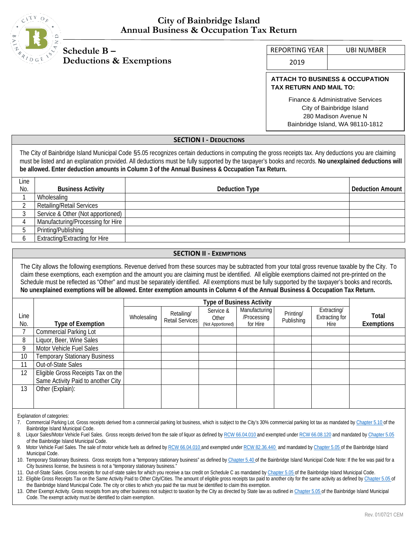

## **City of Bainbridge Island Annual Business & Occupation Tax Return**

# **Schedule B – Deductions & Exemptions**

REPORTING YEAR | UBI NUMBER

2019

## **ATTACH TO BUSINESS & OCCUPATION TAX RETURN AND MAIL TO:**

Finance & Administrative Services City of Bainbridge Island 280 Madison Avenue N Bainbridge Island, WA 98110-1812

## **SECTION I - DEDUCTIONS**

The City of Bainbridge Island Municipal Code §5.05 recognizes certain deductions in computing the gross receipts tax. Any deductions you are claiming must be listed and an explanation provided. All deductions must be fully supported by the taxpayer's books and records. **No unexplained deductions will be allowed. Enter deduction amounts in Column 3 of the Annual Business & Occupation Tax Return.**

| _ine |                                       |                |                         |
|------|---------------------------------------|----------------|-------------------------|
| No.  | <b>Business Activity</b>              | Deduction Type | <b>Deduction Amount</b> |
|      | Wholesaling                           |                |                         |
|      | <b>Retailing/Retail Services</b>      |                |                         |
|      | Service & Other (Not apportioned)     |                |                         |
|      | Manufacturing/Processing for Hire     |                |                         |
|      | Printing/Publishing                   |                |                         |
|      | <b>Extracting/Extracting for Hire</b> |                |                         |

## **SECTION II - EXEMPTIONS**

The City allows the following exemptions. Revenue derived from these sources may be subtracted from your total gross revenue taxable by the City. To claim these exemptions, each exemption and the amount you are claiming must be identified. All eligible exemptions claimed not pre-printed on the Schedule must be reflected as "Other" and must be separately identified. All exemptions must be fully supported by the taxpayer's books and records**. No unexplained exemptions will be allowed. Enter exemption amounts in Column 4 of the Annual Business & Occupation Tax Return.**

|             |                                                                          |             | <b>Type of Business Activity</b>     |                                         |                                          |                         |                                              |                            |
|-------------|--------------------------------------------------------------------------|-------------|--------------------------------------|-----------------------------------------|------------------------------------------|-------------------------|----------------------------------------------|----------------------------|
| Line<br>No. | <b>Type of Exemption</b>                                                 | Wholesaling | Retailing/<br><b>Retail Services</b> | Service &<br>Other<br>(Not Apportioned) | Manufacturing<br>/Processing<br>for Hire | Printing/<br>Publishing | Extracting/<br><b>Extracting for</b><br>Hire | Total<br><b>Exemptions</b> |
|             | <b>Commercial Parking Lot</b>                                            |             |                                      |                                         |                                          |                         |                                              |                            |
| 8           | Liquor, Beer, Wine Sales                                                 |             |                                      |                                         |                                          |                         |                                              |                            |
| 9           | Motor Vehicle Fuel Sales                                                 |             |                                      |                                         |                                          |                         |                                              |                            |
| 10          | <b>Temporary Stationary Business</b>                                     |             |                                      |                                         |                                          |                         |                                              |                            |
| 11          | Out-of-State Sales                                                       |             |                                      |                                         |                                          |                         |                                              |                            |
| 12          | Eligible Gross Receipts Tax on the<br>Same Activity Paid to another City |             |                                      |                                         |                                          |                         |                                              |                            |
| 13          | Other (Explain):                                                         |             |                                      |                                         |                                          |                         |                                              |                            |

Explanation of categories:

<sup>7.</sup> Commercial Parking Lot. Gross receipts derived from a commercial parking lot business, which is subject to the City's 30% commercial parking lot tax as mandated b[y Chapter 5.10 o](http://www.codepublishing.com/WA/BainbridgeIsland/%23!/BainbridgeIsland05/BainbridgeIsland0510.html)f the Bainbridge Island Municipal Code.

Liquor Sales/Motor Vehicle Fuel Sales. Gross receipts derived from the sale of liquor as defined b[y RCW 66.04.010 a](http://app.leg.wa.gov/rcw/default.aspx?cite=66.04.010)nd exempted unde[r RCW 66.08.120](https://app.leg.wa.gov/rcw/default.aspx?cite=66.08.120) and mandated by Chapter 5.05 of the Bainbridge Island Municipal Code.

<sup>9.</sup> Motor Vehicle Fuel Sales. The sale of motor vehicle fuels as defined b[y RCW 66.04.010 a](http://app.leg.wa.gov/rcw/default.aspx?cite=66.04.010)nd exempted unde[r RCW 82.36.440 a](http://app.leg.wa.gov/rcw/dispo.aspx?cite=82.36.440)nd mandated b[y Chapter 5.05 o](http://www.codepublishing.com/WA/BainbridgeIsland/%23!/BainbridgeIsland05/BainbridgeIsland0505.html)f the Bainbridge Island Municipal Code.

<sup>10.</sup> Temporary Stationary Business. Gross receipts from a "temporary stationary business" as defined b[y Chapter 5.40 o](http://www.codepublishing.com/WA/BainbridgeIsland/%23!/BainbridgeIsland05/BainbridgeIsland0540.html)f the Bainbridge Island Municipal Code Note: If the fee was paid for a City business license, the business is not a "temporary stationary business."

<sup>11.</sup> Out-of-State Sales. Gross receipts for out-of-state sales for which you receive a tax credit on Schedule C as mandated b[y Chapter 5.05 o](http://www.codepublishing.com/WA/BainbridgeIsland/%23!/BainbridgeIsland05/BainbridgeIsland0505.html)f the Bainbridge Island Municipal Code.

<sup>12.</sup> Eligible Gross Receipts Tax on the Same Activity Paid to Other City/Cities. The amount of eligible gross receipts tax paid to another city for the same activity as defined b[y Chapter 5.05 o](http://www.codepublishing.com/WA/BainbridgeIsland/%23!/BainbridgeIsland05/BainbridgeIsland0505.html)f the Bainbridge Island Municipal Code. The city or cities to which you paid the tax must be identified to claim this exemption.

<sup>13.</sup> Other Exempt Activity. Gross receipts from any other business not subject to taxation by the City as directed by State law as outlined i[n Chapter 5.05 o](http://www.codepublishing.com/WA/BainbridgeIsland/%23!/BainbridgeIsland05/BainbridgeIsland0505.html)f the Bainbridge Island Municipal Code. The exempt activity must be identified to claim exemption.